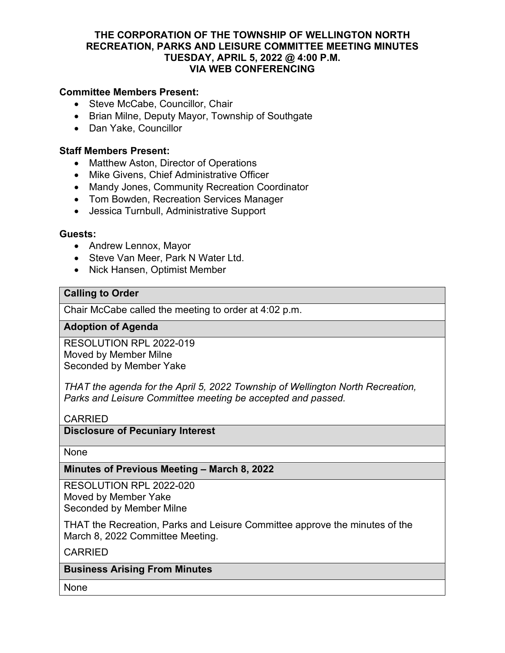#### **THE CORPORATION OF THE TOWNSHIP OF WELLINGTON NORTH RECREATION, PARKS AND LEISURE COMMITTEE MEETING MINUTES TUESDAY, APRIL 5, 2022 @ 4:00 P.M. VIA WEB CONFERENCING**

## **Committee Members Present:**

- Steve McCabe, Councillor, Chair
- Brian Milne, Deputy Mayor, Township of Southgate
- Dan Yake, Councillor

#### **Staff Members Present:**

- Matthew Aston, Director of Operations
- Mike Givens, Chief Administrative Officer
- Mandy Jones, Community Recreation Coordinator
- Tom Bowden, Recreation Services Manager
- Jessica Turnbull, Administrative Support

#### **Guests:**

- Andrew Lennox, Mayor
- Steve Van Meer, Park N Water Ltd.
- Nick Hansen, Optimist Member

## **Calling to Order**

Chair McCabe called the meeting to order at 4:02 p.m.

#### **Adoption of Agenda**

RESOLUTION RPL 2022-019 Moved by Member Milne Seconded by Member Yake

*THAT the agenda for the April 5, 2022 Township of Wellington North Recreation, Parks and Leisure Committee meeting be accepted and passed.*

## CARRIED

## **Disclosure of Pecuniary Interest**

None

#### **Minutes of Previous Meeting – March 8, 2022**

RESOLUTION RPL 2022-020 Moved by Member Yake Seconded by Member Milne

THAT the Recreation, Parks and Leisure Committee approve the minutes of the March 8, 2022 Committee Meeting.

CARRIED

#### **Business Arising From Minutes**

None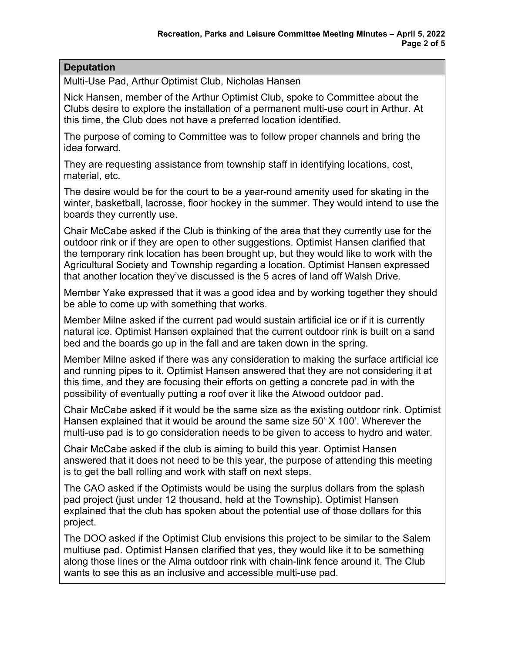# **Deputation**

Multi-Use Pad, Arthur Optimist Club, Nicholas Hansen

Nick Hansen, member of the Arthur Optimist Club, spoke to Committee about the Clubs desire to explore the installation of a permanent multi-use court in Arthur. At this time, the Club does not have a preferred location identified.

The purpose of coming to Committee was to follow proper channels and bring the idea forward.

They are requesting assistance from township staff in identifying locations, cost, material, etc.

The desire would be for the court to be a year-round amenity used for skating in the winter, basketball, lacrosse, floor hockey in the summer. They would intend to use the boards they currently use.

Chair McCabe asked if the Club is thinking of the area that they currently use for the outdoor rink or if they are open to other suggestions. Optimist Hansen clarified that the temporary rink location has been brought up, but they would like to work with the Agricultural Society and Township regarding a location. Optimist Hansen expressed that another location they've discussed is the 5 acres of land off Walsh Drive.

Member Yake expressed that it was a good idea and by working together they should be able to come up with something that works.

Member Milne asked if the current pad would sustain artificial ice or if it is currently natural ice. Optimist Hansen explained that the current outdoor rink is built on a sand bed and the boards go up in the fall and are taken down in the spring.

Member Milne asked if there was any consideration to making the surface artificial ice and running pipes to it. Optimist Hansen answered that they are not considering it at this time, and they are focusing their efforts on getting a concrete pad in with the possibility of eventually putting a roof over it like the Atwood outdoor pad.

Chair McCabe asked if it would be the same size as the existing outdoor rink. Optimist Hansen explained that it would be around the same size 50' X 100'. Wherever the multi-use pad is to go consideration needs to be given to access to hydro and water.

Chair McCabe asked if the club is aiming to build this year. Optimist Hansen answered that it does not need to be this year, the purpose of attending this meeting is to get the ball rolling and work with staff on next steps.

The CAO asked if the Optimists would be using the surplus dollars from the splash pad project (just under 12 thousand, held at the Township). Optimist Hansen explained that the club has spoken about the potential use of those dollars for this project.

The DOO asked if the Optimist Club envisions this project to be similar to the Salem multiuse pad. Optimist Hansen clarified that yes, they would like it to be something along those lines or the Alma outdoor rink with chain-link fence around it. The Club wants to see this as an inclusive and accessible multi-use pad.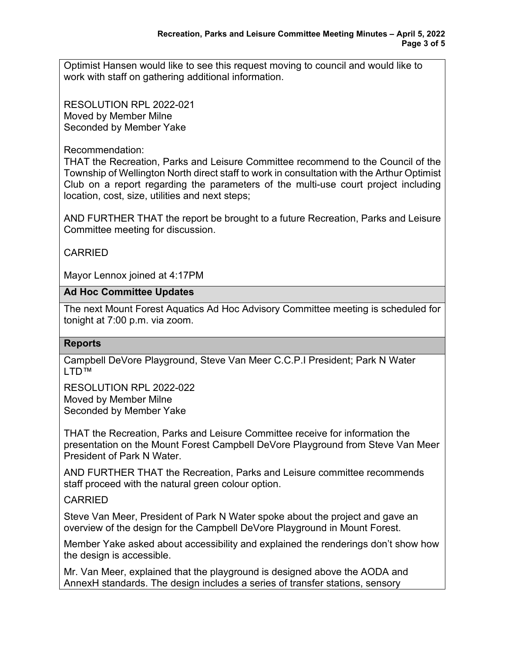Optimist Hansen would like to see this request moving to council and would like to work with staff on gathering additional information.

RESOLUTION RPL 2022-021 Moved by Member Milne Seconded by Member Yake

Recommendation:

THAT the Recreation, Parks and Leisure Committee recommend to the Council of the Township of Wellington North direct staff to work in consultation with the Arthur Optimist Club on a report regarding the parameters of the multi-use court project including location, cost, size, utilities and next steps;

AND FURTHER THAT the report be brought to a future Recreation, Parks and Leisure Committee meeting for discussion.

# CARRIED

Mayor Lennox joined at 4:17PM

## **Ad Hoc Committee Updates**

The next Mount Forest Aquatics Ad Hoc Advisory Committee meeting is scheduled for tonight at 7:00 p.m. via zoom.

## **Reports**

Campbell DeVore Playground, Steve Van Meer C.C.P.I President; Park N Water I TD™

RESOLUTION RPL 2022-022 Moved by Member Milne Seconded by Member Yake

THAT the Recreation, Parks and Leisure Committee receive for information the presentation on the Mount Forest Campbell DeVore Playground from Steve Van Meer President of Park N Water.

AND FURTHER THAT the Recreation, Parks and Leisure committee recommends staff proceed with the natural green colour option.

# CARRIED

Steve Van Meer, President of Park N Water spoke about the project and gave an overview of the design for the Campbell DeVore Playground in Mount Forest.

Member Yake asked about accessibility and explained the renderings don't show how the design is accessible.

Mr. Van Meer, explained that the playground is designed above the AODA and AnnexH standards. The design includes a series of transfer stations, sensory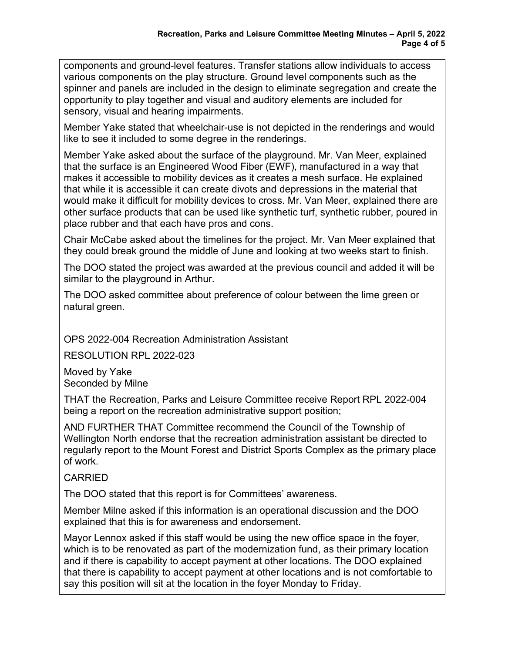components and ground-level features. Transfer stations allow individuals to access various components on the play structure. Ground level components such as the spinner and panels are included in the design to eliminate segregation and create the opportunity to play together and visual and auditory elements are included for sensory, visual and hearing impairments.

Member Yake stated that wheelchair-use is not depicted in the renderings and would like to see it included to some degree in the renderings.

Member Yake asked about the surface of the playground. Mr. Van Meer, explained that the surface is an Engineered Wood Fiber (EWF), manufactured in a way that makes it accessible to mobility devices as it creates a mesh surface. He explained that while it is accessible it can create divots and depressions in the material that would make it difficult for mobility devices to cross. Mr. Van Meer, explained there are other surface products that can be used like synthetic turf, synthetic rubber, poured in place rubber and that each have pros and cons.

Chair McCabe asked about the timelines for the project. Mr. Van Meer explained that they could break ground the middle of June and looking at two weeks start to finish.

The DOO stated the project was awarded at the previous council and added it will be similar to the playground in Arthur.

The DOO asked committee about preference of colour between the lime green or natural green.

OPS 2022-004 Recreation Administration Assistant

RESOLUTION RPL 2022-023

Moved by Yake Seconded by Milne

THAT the Recreation, Parks and Leisure Committee receive Report RPL 2022-004 being a report on the recreation administrative support position;

AND FURTHER THAT Committee recommend the Council of the Township of Wellington North endorse that the recreation administration assistant be directed to regularly report to the Mount Forest and District Sports Complex as the primary place of work.

# **CARRIED**

The DOO stated that this report is for Committees' awareness.

Member Milne asked if this information is an operational discussion and the DOO explained that this is for awareness and endorsement.

Mayor Lennox asked if this staff would be using the new office space in the foyer, which is to be renovated as part of the modernization fund, as their primary location and if there is capability to accept payment at other locations. The DOO explained that there is capability to accept payment at other locations and is not comfortable to say this position will sit at the location in the foyer Monday to Friday.